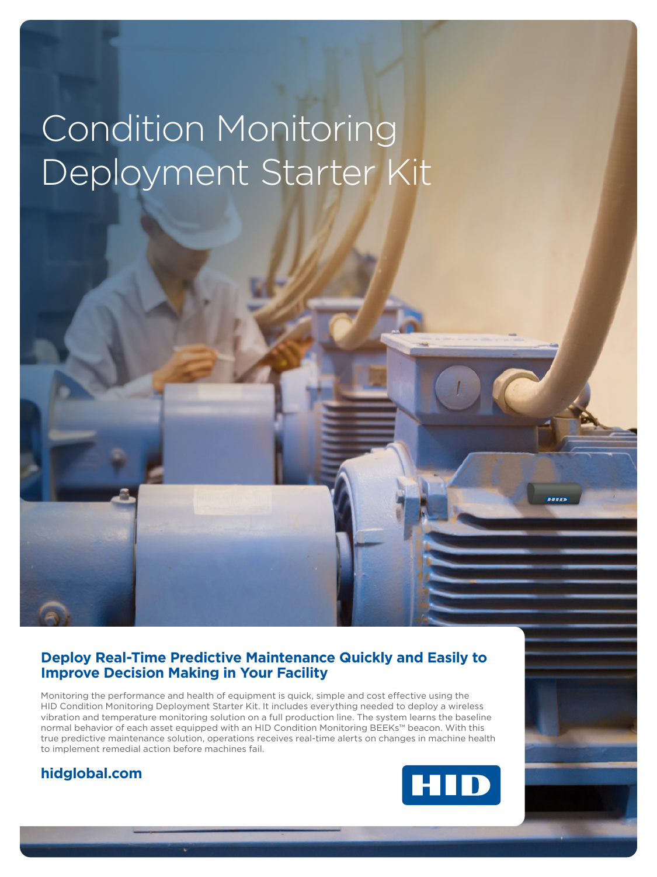# Condition Monitoring Deployment Starter Kit

### **Deploy Real-Time Predictive Maintenance Quickly and Easily to Improve Decision Making in Your Facility**

Monitoring the performance and health of equipment is quick, simple and cost effective using the HID Condition Monitoring Deployment Starter Kit. It includes everything needed to deploy a wireless vibration and temperature monitoring solution on a full production line. The system learns the baseline normal behavior of each asset equipped with an HID Condition Monitoring BEEKs™ beacon. With this true predictive maintenance solution, operations receives real-time alerts on changes in machine health to implement remedial action before machines fail.

## **hidglobal.com**